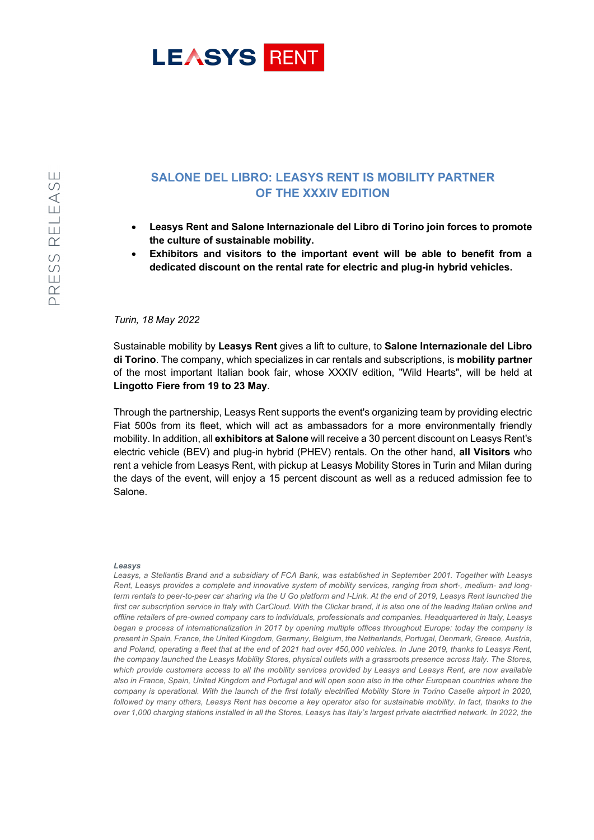

## **SALONE DEL LIBRO: LEASYS RENT IS MOBILITY PARTNER OF THE XXXIV EDITION**

- **Leasys Rent and Salone Internazionale del Libro di Torino join forces to promote the culture of sustainable mobility.**
- **Exhibitors and visitors to the important event will be able to benefit from a dedicated discount on the rental rate for electric and plug-in hybrid vehicles.**

## *Turin, 18 May 2022*

Sustainable mobility by **Leasys Rent** gives a lift to culture, to **Salone Internazionale del Libro di Torino**. The company, which specializes in car rentals and subscriptions, is **mobility partner** of the most important Italian book fair, whose XXXIV edition, "Wild Hearts", will be held at **Lingotto Fiere from 19 to 23 May**.

Through the partnership, Leasys Rent supports the event's organizing team by providing electric Fiat 500s from its fleet, which will act as ambassadors for a more environmentally friendly mobility. In addition, all **exhibitors at Salone** will receive a 30 percent discount on Leasys Rent's electric vehicle (BEV) and plug-in hybrid (PHEV) rentals. On the other hand, **all Visitors** who rent a vehicle from Leasys Rent, with pickup at Leasys Mobility Stores in Turin and Milan during the days of the event, will enjoy a 15 percent discount as well as a reduced admission fee to Salone.

## *Leasys*

*Leasys, a Stellantis Brand and a subsidiary of FCA Bank, was established in September 2001. Together with Leasys Rent, Leasys provides a complete and innovative system of mobility services, ranging from short-, medium- and longterm rentals to peer-to-peer car sharing via the U Go platform and I-Link. At the end of 2019, Leasys Rent launched the* first car subscription service in Italy with CarCloud. With the Clickar brand, it is also one of the leading Italian online and *offline retailers of pre-owned company cars to individuals, professionals and companies. Headquartered in Italy, Leasys began a process of internationalization in 2017 by opening multiple offices throughout Europe: today the company is present in Spain, France, the United Kingdom, Germany, Belgium, the Netherlands, Portugal, Denmark, Greece, Austria, and Poland, operating a fleet that at the end of 2021 had over 450,000 vehicles. In June 2019, thanks to Leasys Rent, the company launched the Leasys Mobility Stores, physical outlets with a grassroots presence across Italy. The Stores, which provide customers access to all the mobility services provided by Leasys and Leasys Rent, are now available also in France, Spain, United Kingdom and Portugal and will open soon also in the other European countries where the company is operational. With the launch of the first totally electrified Mobility Store in Torino Caselle airport in 2020, followed by many others, Leasys Rent has become a key operator also for sustainable mobility. In fact, thanks to the over 1,000 charging stations installed in all the Stores, Leasys has Italy's largest private electrified network. In 2022, the*